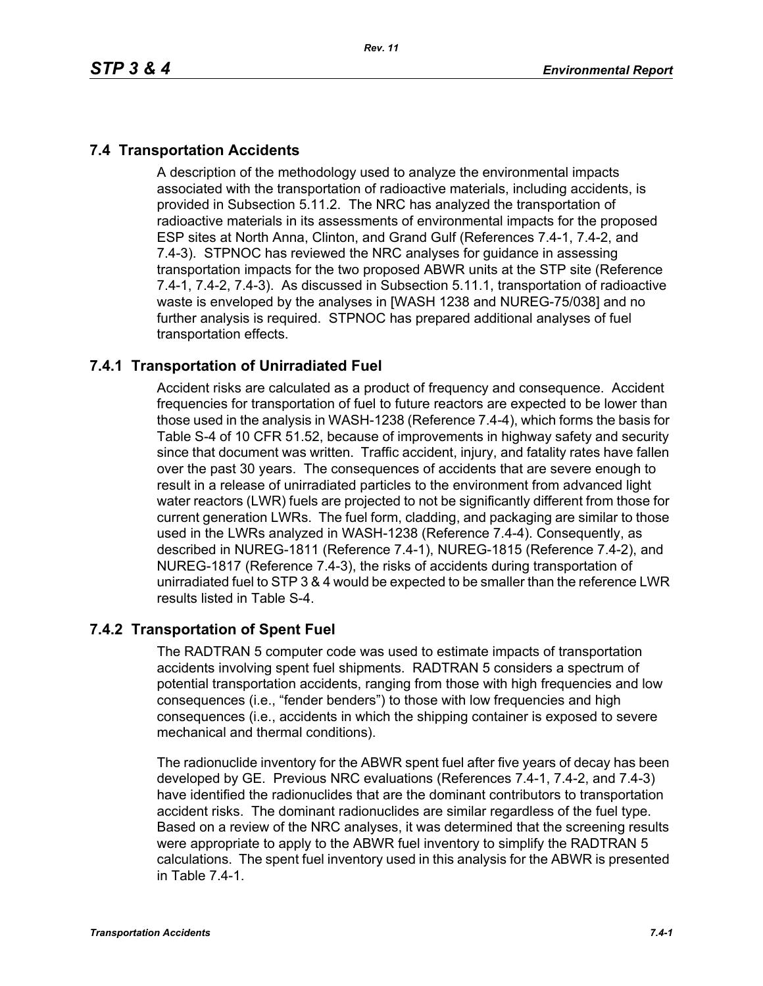# **7.4 Transportation Accidents**

A description of the methodology used to analyze the environmental impacts associated with the transportation of radioactive materials, including accidents, is provided in Subsection 5.11.2. The NRC has analyzed the transportation of radioactive materials in its assessments of environmental impacts for the proposed ESP sites at North Anna, Clinton, and Grand Gulf (References 7.4-1, 7.4-2, and 7.4-3). STPNOC has reviewed the NRC analyses for guidance in assessing transportation impacts for the two proposed ABWR units at the STP site (Reference 7.4-1, 7.4-2, 7.4-3). As discussed in Subsection 5.11.1, transportation of radioactive waste is enveloped by the analyses in [WASH 1238 and NUREG-75/038] and no further analysis is required. STPNOC has prepared additional analyses of fuel transportation effects.

# **7.4.1 Transportation of Unirradiated Fuel**

Accident risks are calculated as a product of frequency and consequence. Accident frequencies for transportation of fuel to future reactors are expected to be lower than those used in the analysis in WASH-1238 (Reference 7.4-4), which forms the basis for Table S-4 of 10 CFR 51.52, because of improvements in highway safety and security since that document was written. Traffic accident, injury, and fatality rates have fallen over the past 30 years. The consequences of accidents that are severe enough to result in a release of unirradiated particles to the environment from advanced light water reactors (LWR) fuels are projected to not be significantly different from those for current generation LWRs. The fuel form, cladding, and packaging are similar to those used in the LWRs analyzed in WASH-1238 (Reference 7.4-4). Consequently, as described in NUREG-1811 (Reference 7.4-1), NUREG-1815 (Reference 7.4-2), and NUREG-1817 (Reference 7.4-3), the risks of accidents during transportation of unirradiated fuel to STP 3 & 4 would be expected to be smaller than the reference LWR results listed in Table S-4.

### **7.4.2 Transportation of Spent Fuel**

The RADTRAN 5 computer code was used to estimate impacts of transportation accidents involving spent fuel shipments. RADTRAN 5 considers a spectrum of potential transportation accidents, ranging from those with high frequencies and low consequences (i.e., "fender benders") to those with low frequencies and high consequences (i.e., accidents in which the shipping container is exposed to severe mechanical and thermal conditions).

The radionuclide inventory for the ABWR spent fuel after five years of decay has been developed by GE. Previous NRC evaluations (References 7.4-1, 7.4-2, and 7.4-3) have identified the radionuclides that are the dominant contributors to transportation accident risks. The dominant radionuclides are similar regardless of the fuel type. Based on a review of the NRC analyses, it was determined that the screening results were appropriate to apply to the ABWR fuel inventory to simplify the RADTRAN 5 calculations. The spent fuel inventory used in this analysis for the ABWR is presented in Table 7.4-1.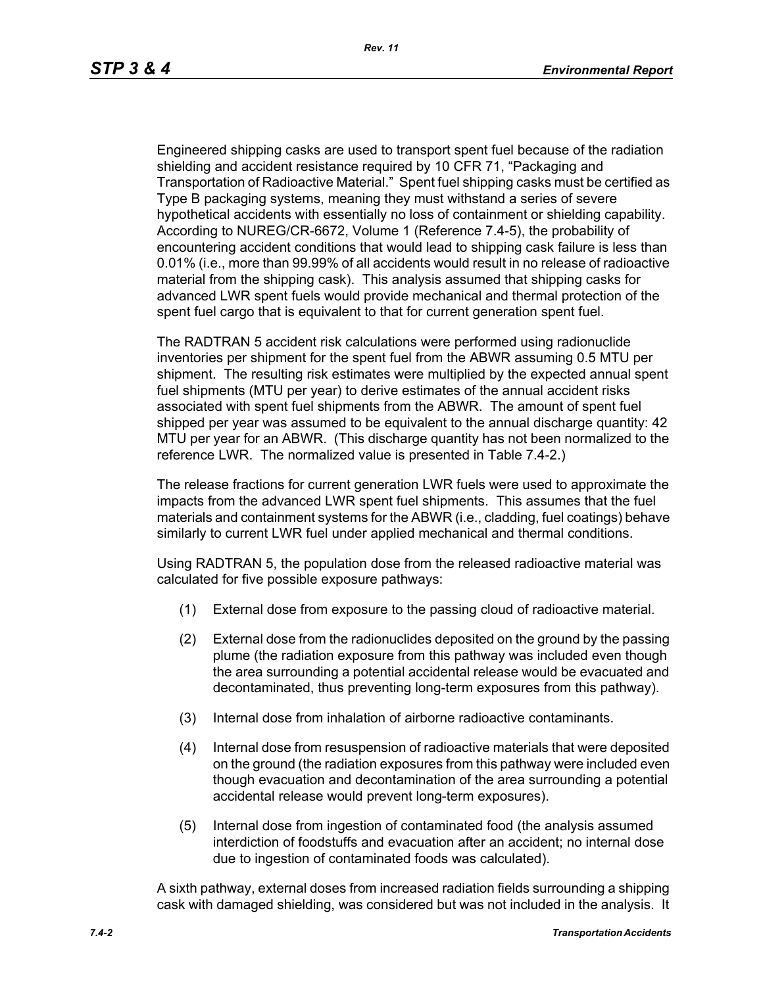Engineered shipping casks are used to transport spent fuel because of the radiation shielding and accident resistance required by 10 CFR 71, "Packaging and Transportation of Radioactive Material." Spent fuel shipping casks must be certified as Type B packaging systems, meaning they must withstand a series of severe hypothetical accidents with essentially no loss of containment or shielding capability. According to NUREG/CR-6672, Volume 1 (Reference 7.4-5), the probability of encountering accident conditions that would lead to shipping cask failure is less than 0.01% (i.e., more than 99.99% of all accidents would result in no release of radioactive material from the shipping cask). This analysis assumed that shipping casks for advanced LWR spent fuels would provide mechanical and thermal protection of the spent fuel cargo that is equivalent to that for current generation spent fuel.

The RADTRAN 5 accident risk calculations were performed using radionuclide inventories per shipment for the spent fuel from the ABWR assuming 0.5 MTU per shipment. The resulting risk estimates were multiplied by the expected annual spent fuel shipments (MTU per year) to derive estimates of the annual accident risks associated with spent fuel shipments from the ABWR. The amount of spent fuel shipped per year was assumed to be equivalent to the annual discharge quantity: 42 MTU per year for an ABWR. (This discharge quantity has not been normalized to the reference LWR. The normalized value is presented in Table 7.4-2.)

The release fractions for current generation LWR fuels were used to approximate the impacts from the advanced LWR spent fuel shipments. This assumes that the fuel materials and containment systems for the ABWR (i.e., cladding, fuel coatings) behave similarly to current LWR fuel under applied mechanical and thermal conditions.

Using RADTRAN 5, the population dose from the released radioactive material was calculated for five possible exposure pathways:

- (1) External dose from exposure to the passing cloud of radioactive material.
- (2) External dose from the radionuclides deposited on the ground by the passing plume (the radiation exposure from this pathway was included even though the area surrounding a potential accidental release would be evacuated and decontaminated, thus preventing long-term exposures from this pathway).
- (3) Internal dose from inhalation of airborne radioactive contaminants.
- (4) Internal dose from resuspension of radioactive materials that were deposited on the ground (the radiation exposures from this pathway were included even though evacuation and decontamination of the area surrounding a potential accidental release would prevent long-term exposures).
- (5) Internal dose from ingestion of contaminated food (the analysis assumed interdiction of foodstuffs and evacuation after an accident; no internal dose due to ingestion of contaminated foods was calculated).

A sixth pathway, external doses from increased radiation fields surrounding a shipping cask with damaged shielding, was considered but was not included in the analysis. It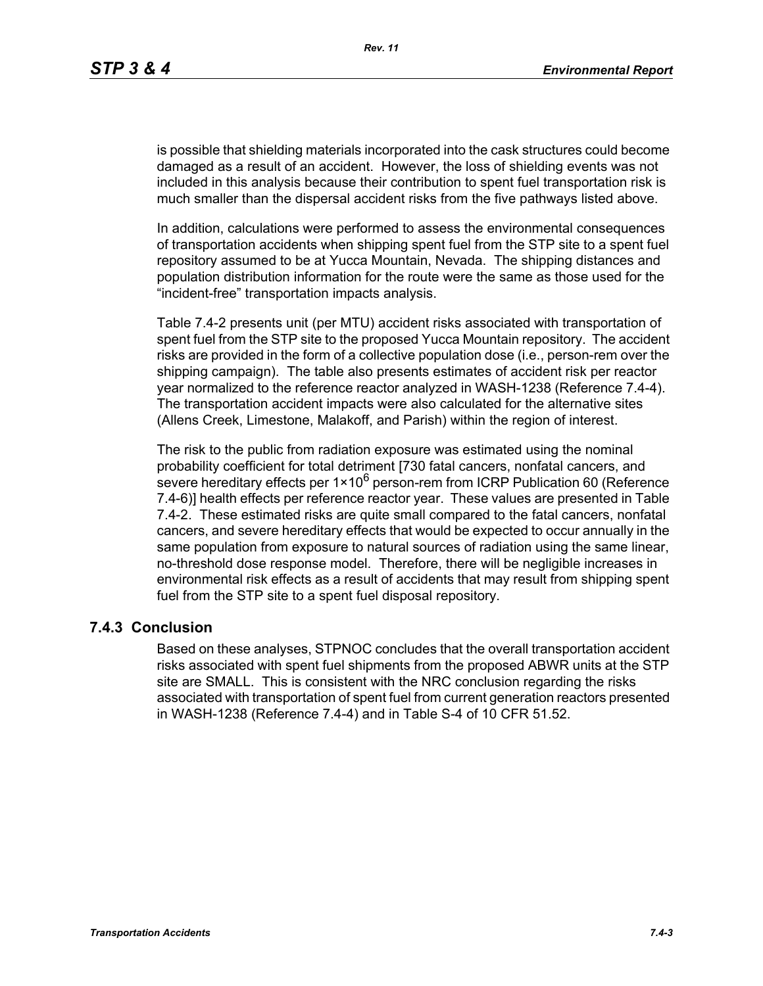is possible that shielding materials incorporated into the cask structures could become damaged as a result of an accident. However, the loss of shielding events was not included in this analysis because their contribution to spent fuel transportation risk is much smaller than the dispersal accident risks from the five pathways listed above.

In addition, calculations were performed to assess the environmental consequences of transportation accidents when shipping spent fuel from the STP site to a spent fuel repository assumed to be at Yucca Mountain, Nevada. The shipping distances and population distribution information for the route were the same as those used for the "incident-free" transportation impacts analysis.

Table 7.4-2 presents unit (per MTU) accident risks associated with transportation of spent fuel from the STP site to the proposed Yucca Mountain repository. The accident risks are provided in the form of a collective population dose (i.e., person-rem over the shipping campaign). The table also presents estimates of accident risk per reactor year normalized to the reference reactor analyzed in WASH-1238 (Reference 7.4-4). The transportation accident impacts were also calculated for the alternative sites (Allens Creek, Limestone, Malakoff, and Parish) within the region of interest.

The risk to the public from radiation exposure was estimated using the nominal probability coefficient for total detriment [730 fatal cancers, nonfatal cancers, and severe hereditary effects per  $1 \times 10^6$  person-rem from ICRP Publication 60 (Reference 7.4-6)] health effects per reference reactor year. These values are presented in Table 7.4-2. These estimated risks are quite small compared to the fatal cancers, nonfatal cancers, and severe hereditary effects that would be expected to occur annually in the same population from exposure to natural sources of radiation using the same linear, no-threshold dose response model. Therefore, there will be negligible increases in environmental risk effects as a result of accidents that may result from shipping spent fuel from the STP site to a spent fuel disposal repository.

#### **7.4.3 Conclusion**

Based on these analyses, STPNOC concludes that the overall transportation accident risks associated with spent fuel shipments from the proposed ABWR units at the STP site are SMALL. This is consistent with the NRC conclusion regarding the risks associated with transportation of spent fuel from current generation reactors presented in WASH-1238 (Reference 7.4-4) and in Table S-4 of 10 CFR 51.52.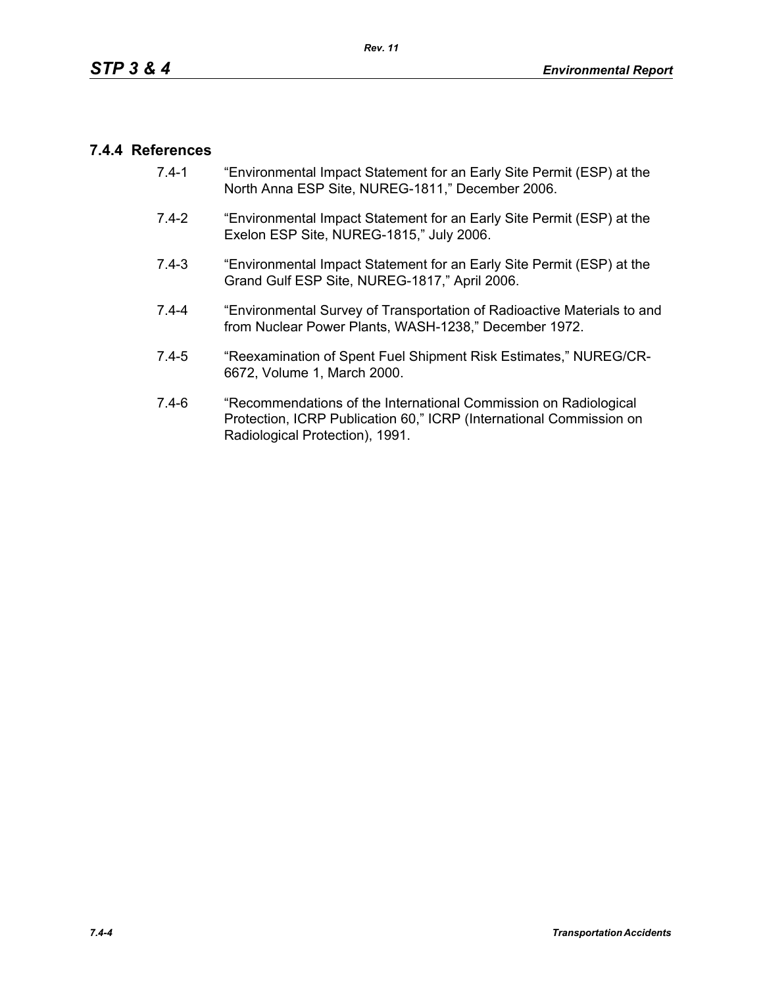### **7.4.4 References**

- 7.4-1 "Environmental Impact Statement for an Early Site Permit (ESP) at the North Anna ESP Site, NUREG-1811," December 2006.
- 7.4-2 "Environmental Impact Statement for an Early Site Permit (ESP) at the Exelon ESP Site, NUREG-1815," July 2006.
- 7.4-3 "Environmental Impact Statement for an Early Site Permit (ESP) at the Grand Gulf ESP Site, NUREG-1817," April 2006.
- 7.4-4 "Environmental Survey of Transportation of Radioactive Materials to and from Nuclear Power Plants, WASH-1238," December 1972.
- 7.4-5 "Reexamination of Spent Fuel Shipment Risk Estimates," NUREG/CR-6672, Volume 1, March 2000.
- 7.4-6 "Recommendations of the International Commission on Radiological Protection, ICRP Publication 60," ICRP (International Commission on Radiological Protection), 1991.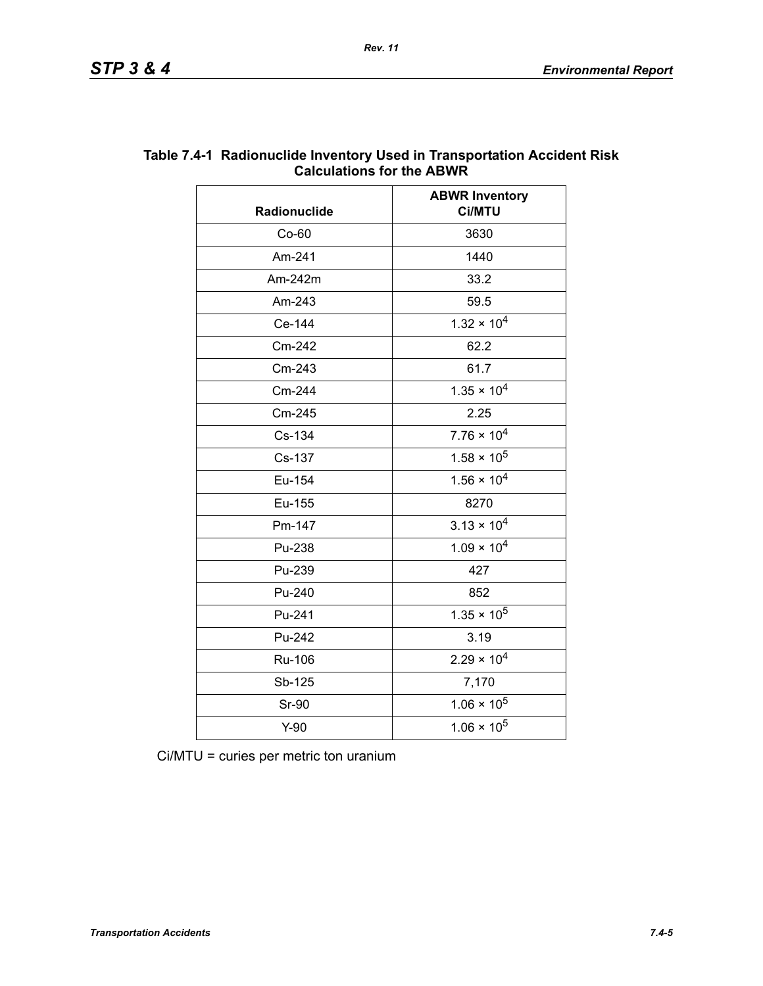|              | <b>ABWR Inventory</b> |  |
|--------------|-----------------------|--|
| Radionuclide | <b>Ci/MTU</b>         |  |
| $Co-60$      | 3630                  |  |
| Am-241       | 1440                  |  |
| Am-242m      | 33.2                  |  |
| Am-243       | 59.5                  |  |
| Ce-144       | $1.32 \times 10^{4}$  |  |
| Cm-242       | 62.2                  |  |
| Cm-243       | 61.7                  |  |
| Cm-244       | $1.35 \times 10^{4}$  |  |
| Cm-245       | 2.25                  |  |
| Cs-134       | $7.76 \times 10^4$    |  |
| Cs-137       | $1.58 \times 10^5$    |  |
| Eu-154       | $1.56 \times 10^{4}$  |  |
| Eu-155       | 8270                  |  |
| Pm-147       | $3.13 \times 10^{4}$  |  |
| Pu-238       | $1.09 \times 10^{4}$  |  |
| Pu-239       | 427                   |  |
| Pu-240       | 852                   |  |
| Pu-241       | $1.35 \times 10^5$    |  |
| Pu-242       | 3.19                  |  |
| Ru-106       | $2.29 \times 10^{4}$  |  |
| Sb-125       | 7,170                 |  |
| <b>Sr-90</b> | $1.06 \times 10^5$    |  |
| $Y-90$       | $1.06 \times 10^5$    |  |

#### **Table 7.4-1 Radionuclide Inventory Used in Transportation Accident Risk Calculations for the ABWR**

Ci/MTU = curies per metric ton uranium